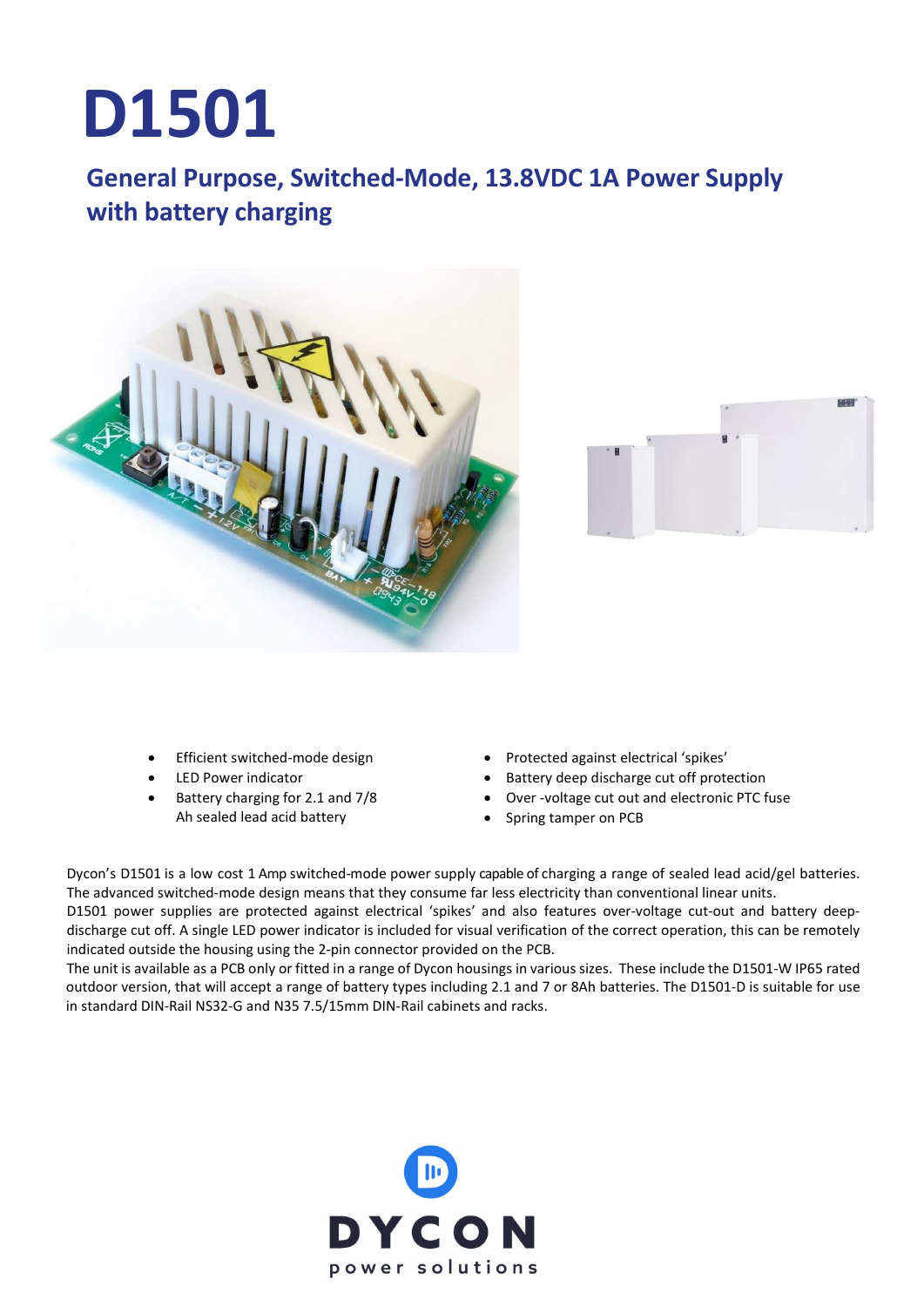# D1501

## General Purpose, Switched-Mode, 13.8VDC 1A Power Supply with battery charging





- Efficient switched-mode design
- LED Power indicator
- Battery charging for 2.1 and 7/8 Ah sealed lead acid battery
- Protected against electrical 'spikes'
- Battery deep discharge cut off protection
- Over -voltage cut out and electronic PTC fuse
- Spring tamper on PCB

Dycon's D1501 is a low cost 1 Amp switched-mode power supply capable of charging a range of sealed lead acid/gel batteries. The advanced switched-mode design means that they consume far less electricity than conventional linear units. D1501 power supplies are protected against electrical 'spikes' and also features over-voltage cut-out and battery deep-

discharge cut off. A single LED power indicator is included for visual verification of the correct operation, this can be remotely indicated outside the housing using the 2-pin connector provided on the PCB.

The unit is available as a PCB only or fitted in a range of Dycon housings in various sizes. These include the D1501-W IP65 rated outdoor version, that will accept a range of battery types including 2.1 and 7 or 8Ah batteries. The D1501-D is suitable for use in standard DIN-Rail NS32-G and N35 7.5/15mm DIN-Rail cabinets and racks.